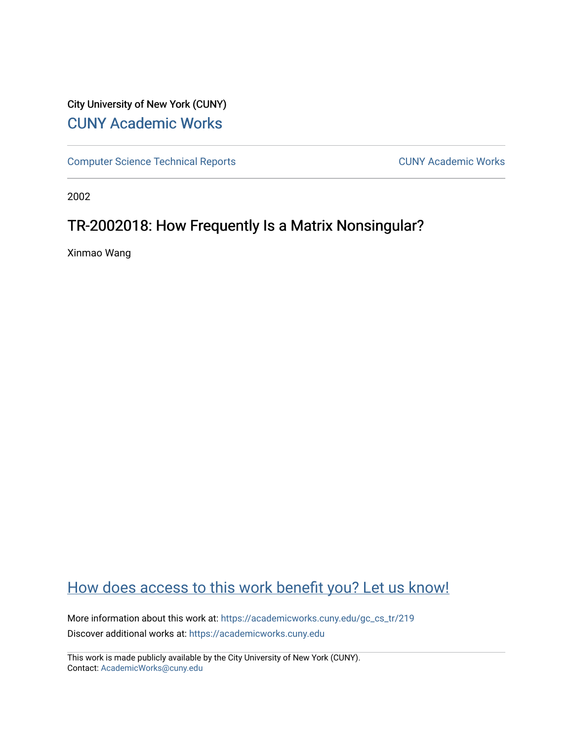### City University of New York (CUNY) [CUNY Academic Works](https://academicworks.cuny.edu/)

[Computer Science Technical Reports](https://academicworks.cuny.edu/gc_cs_tr) **CUNY Academic Works** CUNY Academic Works

2002

## TR-2002018: How Frequently Is a Matrix Nonsingular?

Xinmao Wang

## [How does access to this work benefit you? Let us know!](http://ols.cuny.edu/academicworks/?ref=https://academicworks.cuny.edu/gc_cs_tr/219)

More information about this work at: [https://academicworks.cuny.edu/gc\\_cs\\_tr/219](https://academicworks.cuny.edu/gc_cs_tr/219)  Discover additional works at: [https://academicworks.cuny.edu](https://academicworks.cuny.edu/?)

This work is made publicly available by the City University of New York (CUNY). Contact: [AcademicWorks@cuny.edu](mailto:AcademicWorks@cuny.edu)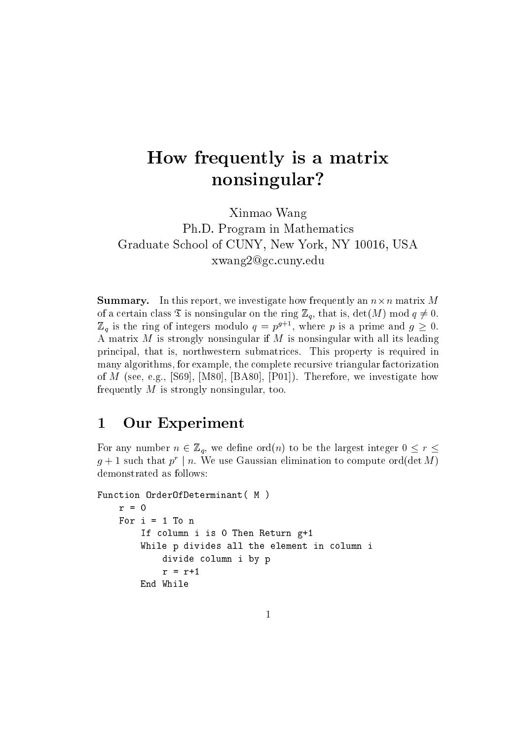## How frequently is a matrix nonsingular?

Xinmao Wang Ph.D. Program in Mathematics Graduate School of CUNY, New York, NY 10016, USA xwang2@gc.cuny.edu

**Summary.** In this report, we investigate how frequently an  $n \times n$  matrix M of a certain class  $\mathfrak T$  is nonsingular on the ring  $\mathbb Z_q$ , that is,  $\det(M) \text{ mod } q \neq 0$ .  $\mathbb{Z}_q$  is the ring of integers modulo  $q = p^{g+1}$ , where p is a prime and  $g \geq 0$ . A matrix  $M$  is strongly nonsingular if  $M$  is nonsingular with all its leading principal, that is, northwestern submatrices. This property is required in many algorithms, for example, the complete recursive triangular factorization of M (see, e.g., [S69], [M80], [BA80], [P01]). Therefore, we investigate how frequently  $M$  is strongly nonsingular, too.

#### $\mathbf{1}$ **Our Experiment**

For any number  $n \in \mathbb{Z}_q$ , we define ord(n) to be the largest integer  $0 \leq r \leq$  $g+1$  such that  $p^r \mid n$ . We use Gaussian elimination to compute ord(det M) demonstrated as follows:

```
Function OrderOfDeterminant( M)
    r = 0For i = 1 To n
        If column i is 0 Then Return g+1
        While p divides all the element in column i
            divide column i by p
            r = r+1End While
```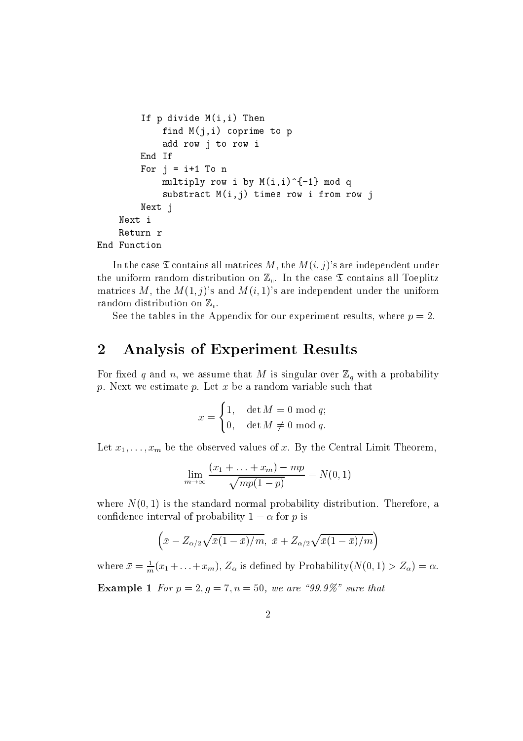```
If p divide M(i, i) Then
            find M(i,i) coprime to p
            add row j to row i
        End If
        For j = i+1 To n
            multiply row i by M(i,i)^{-1} mod q
            substract M(i,j) times row i from row j
        Next j
    Next i
    Return r
End Function
```
In the case  $\mathfrak T$  contains all matrices M, the  $M(i, j)$ 's are independent under the uniform random distribution on  $\mathbb{Z}_{\mathbb{N}}$ . In the case  $\mathfrak T$  contains all Toeplitz matrices M, the  $M(1, j)$ 's and  $M(i, 1)$ 's are independent under the uniform random distribution on  $\mathbb{Z}_n$ .

See the tables in the Appendix for our experiment results, where  $p = 2$ .

#### **Analysis of Experiment Results**  $\overline{2}$

For fixed q and n, we assume that M is singular over  $\mathbb{Z}_q$  with a probability p. Next we estimate p. Let  $x$  be a random variable such that

$$
x = \begin{cases} 1, & \det M = 0 \text{ mod } q; \\ 0, & \det M \neq 0 \text{ mod } q. \end{cases}
$$

Let  $x_1, \ldots, x_m$  be the observed values of x. By the Central Limit Theorem,

$$
\lim_{m \to \infty} \frac{(x_1 + \dots + x_m) - mp}{\sqrt{mp(1 - p)}} = N(0, 1)
$$

where  $N(0, 1)$  is the standard normal probability distribution. Therefore, a confidence interval of probability  $1 - \alpha$  for p is

$$
\left(\bar{x} - Z_{\alpha/2}\sqrt{\bar{x}(1-\bar{x})/m}, \ \bar{x} + Z_{\alpha/2}\sqrt{\bar{x}(1-\bar{x})/m}\right)
$$

where  $\bar{x} = \frac{1}{m}(x_1 + \ldots + x_m)$ ,  $Z_{\alpha}$  is defined by Probability $(N(0, 1) > Z_{\alpha}) = \alpha$ .

**Example 1** For  $p = 2, g = 7, n = 50$ , we are "99.9%" sure that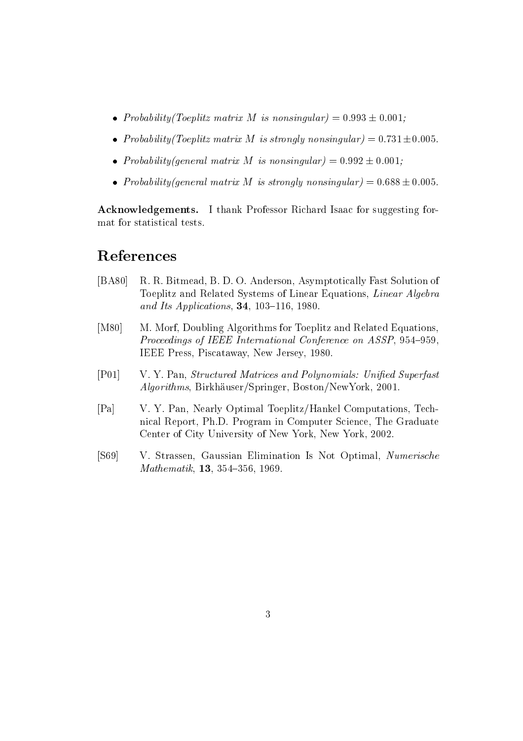- Probability (Toeplitz matrix M is nonsingular) =  $0.993 \pm 0.001$ ;
- Probability (Toeplitz matrix M is strongly nonsingular) =  $0.731 \pm 0.005$ .
- Probability (general matrix M is nonsingular) =  $0.992 \pm 0.001$ ;
- Probability (general matrix M is strongly nonsingular) =  $0.688 \pm 0.005$ .

**Acknowledgements.** I thank Professor Richard Isaac for suggesting format for statistical tests.

### References

- $[BA80]$ R. R. Bitmead, B. D. O. Anderson, Asymptotically Fast Solution of Toeplitz and Related Systems of Linear Equations, Linear Algebra and Its Applications, 34, 103-116, 1980.
- $[M80]$ M. Morf, Doubling Algorithms for Toeplitz and Related Equations, Proceedings of IEEE International Conference on ASSP, 954-959. IEEE Press, Piscataway, New Jersey, 1980.
- $[P01]$ V. Y. Pan, Structured Matrices and Polynomials: Unified Superfast *Algorithms*, Birkhäuser/Springer, Boston/NewYork, 2001.
- $[Pa]$ V. Y. Pan, Nearly Optimal Toeplitz/Hankel Computations, Technical Report, Ph.D. Program in Computer Science, The Graduate Center of City University of New York, New York, 2002.
- $[S69]$ V. Strassen, Gaussian Elimination Is Not Optimal, Numerische Mathematik, 13, 354-356, 1969.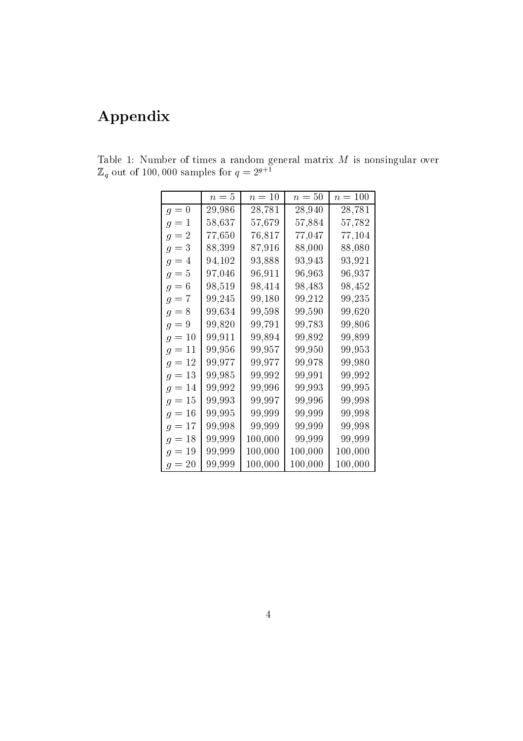# Appendix

|          | $n=5$  | $n=10$  | $n=50$  | $n = 100$ |
|----------|--------|---------|---------|-----------|
| $g=0$    | 29,986 | 28,781  | 28,940  | 28,781    |
| $g=1$    | 58,637 | 57,679  | 57,884  | 57,782    |
| $g=2$    | 77,650 | 76,817  | 77,047  | 77,104    |
| $g=3$    | 88,399 | 87,916  | 88,000  | 88,080    |
| $g=4$    | 94,102 | 93,888  | 93,943  | 93,921    |
| $g=5$    | 97,046 | 96,911  | 96,963  | 96,937    |
| $g=6$    | 98,519 | 98,414  | 98,483  | 98,452    |
| $g=7$    | 99,245 | 99,180  | 99,212  | 99,235    |
| $g=8$    | 99,634 | 99,598  | 99,590  | 99,620    |
| $g=9$    | 99,820 | 99,791  | 99,783  | 99,806    |
| $g = 10$ | 99,911 | 99,894  | 99,892  | 99,899    |
| $g = 11$ | 99,956 | 99,957  | 99,950  | 99,953    |
| $g=12$   | 99.977 | 99,977  | 99,978  | 99,980    |
| $g = 13$ | 99,985 | 99,992  | 99,991  | 99,992    |
| $g = 14$ | 99,992 | 99,996  | 99,993  | 99,995    |
| $g=15$   | 99,993 | 99,997  | 99,996  | 99,998    |
| $g = 16$ | 99,995 | 99,999  | 99,999  | 99,998    |
| $g=17$   | 99,998 | 99,999  | 99,999  | 99,998    |
| $g=18$   | 99,999 | 100,000 | 99,999  | 99,999    |
| $g = 19$ | 99,999 | 100,000 | 100,000 | 100,000   |
| $g = 20$ | 99,999 | 100,000 | 100,000 | 100,000   |

Table 1: Number of times a random general matrix  $M$  is nonsingular over  $\mathbb{Z}_q$  out of 100,000 samples for  $q=2^{g+1}$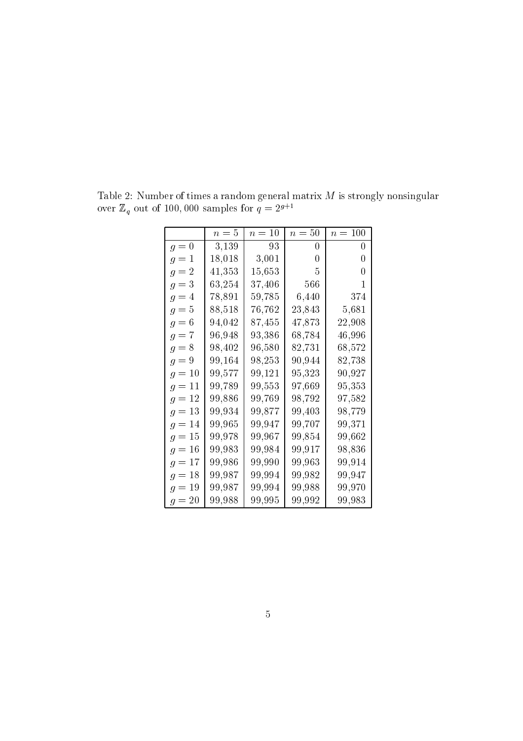|          | $n=5$      | $n=10$     | $n=50$ | $n = 100$  |
|----------|------------|------------|--------|------------|
| $g=0$    | 3,139      | 93         | 0      | 0          |
| $g=1$    | 18,018     | 3,001      | 0      | 0          |
| $g=2$    | 41,353     | 15,653     | 5      | 0          |
| $g=3$    | 63,254     | $37,\!406$ | 566    | 1          |
| $g=4$    | 78,891     | 59,785     | 6,440  | 374        |
| $g=5$    | 88,518     | 76,762     | 23,843 | 5,681      |
| $g=6$    | $94{,}042$ | 87,455     | 47,873 | 22,908     |
| $g=7$    | 96,948     | 93,386     | 68,784 | 46,996     |
| $g=8$    | 98,402     | 96,580     | 82,731 | 68,572     |
| $g=9$    | 99,164     | 98,253     | 90,944 | 82,738     |
| $g=10$   | 99,577     | 99,121     | 95,323 | $90{,}927$ |
| $g=11$   | 99,789     | 99,553     | 97,669 | 95,353     |
| $g=12$   | 99,886     | 99,769     | 98,792 | 97,582     |
| $g=13$   | 99,934     | 99,877     | 99,403 | 98,779     |
| $g = 14$ | 99,965     | 99,947     | 99,707 | 99,371     |
| $g=15$   | 99,978     | 99,967     | 99,854 | $99{,}662$ |
| $g=16$   | 99,983     | 99,984     | 99,917 | 98,836     |
| $g=17$   | 99,986     | 99,990     | 99,963 | 99,914     |
| $g=18$   | 99,987     | 99,994     | 99,982 | 99,947     |
| $g=19$   | 99,987     | 99,994     | 99,988 | 99,970     |
| $g=20$   | 99,988     | 99,995     | 99,992 | $99{,}983$ |

Table 2: Number of times a random general matrix  $M$  is strongly nonsingular over  $\mathbb{Z}_q$  out of 100,000 samples for  $q = 2^{g+1}$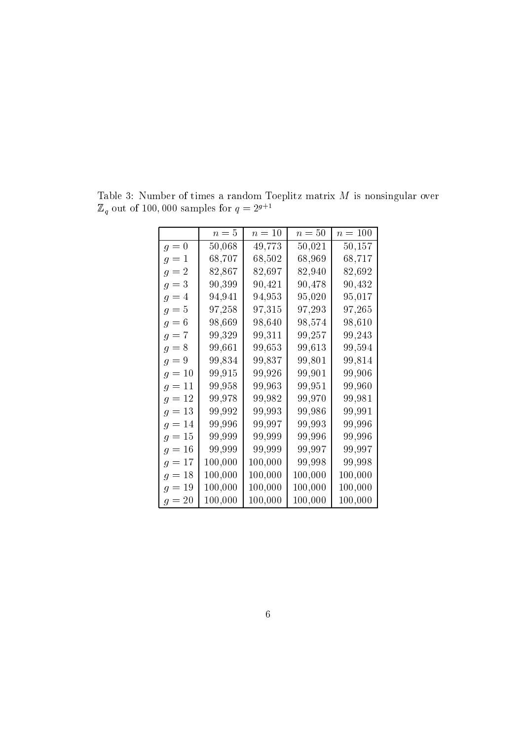|          | $n=5$   | $n=10$  | $n=50$  | $n = 100$ |
|----------|---------|---------|---------|-----------|
| $g=0$    | 50,068  | 49,773  | 50,021  | 50,157    |
| $g=1$    | 68,707  | 68,502  | 68,969  | 68,717    |
| $g=2$    | 82,867  | 82,697  | 82,940  | 82,692    |
| $g=3$    | 90,399  | 90,421  | 90,478  | 90,432    |
| $g=4$    | 94,941  | 94,953  | 95,020  | 95,017    |
| $g=5$    | 97,258  | 97,315  | 97,293  | 97,265    |
| $g=6$    | 98,669  | 98,640  | 98,574  | 98,610    |
| $g=7$    | 99,329  | 99,311  | 99,257  | 99,243    |
| $g=8$    | 99,661  | 99,653  | 99,613  | 99,594    |
| $g=9$    | 99,834  | 99,837  | 99,801  | 99,814    |
| $g = 10$ | 99,915  | 99,926  | 99,901  | 99,906    |
| $g = 11$ | 99,958  | 99,963  | 99,951  | 99,960    |
| $g = 12$ | 99,978  | 99,982  | 99,970  | 99,981    |
| $g = 13$ | 99,992  | 99,993  | 99,986  | 99,991    |
| $g = 14$ | 99,996  | 99,997  | 99,993  | 99,996    |
| $g=15$   | 99,999  | 99,999  | 99,996  | 99,996    |
| $g=16$   | 99,999  | 99,999  | 99,997  | 99,997    |
| $g = 17$ | 100,000 | 100,000 | 99,998  | 99,998    |
| $g = 18$ | 100,000 | 100,000 | 100,000 | 100,000   |
| $g=19$   | 100,000 | 100,000 | 100,000 | 100,000   |
| $g=20$   | 100,000 | 100,000 | 100,000 | 100,000   |

Table 3: Number of times a random Toeplitz matrix  $M$  is nonsingular over  $\mathbb{Z}_q$  out of 100,000 samples for  $q=2^{g+1}$